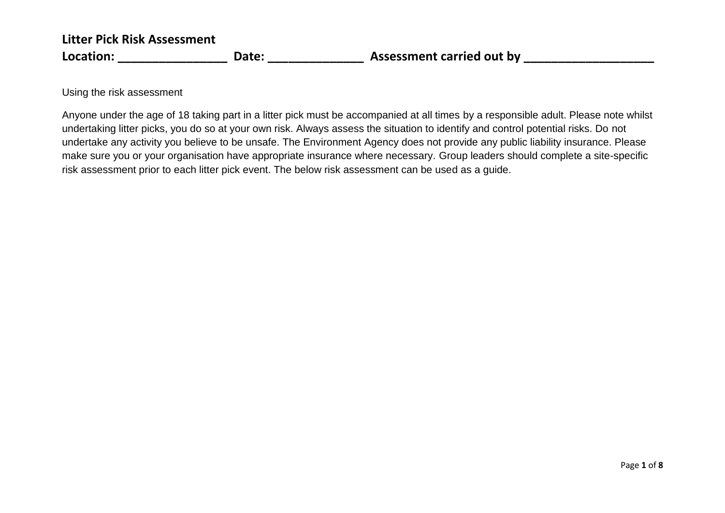Using the risk assessment

Anyone under the age of 18 taking part in a litter pick must be accompanied at all times by a responsible adult. Please note whilst undertaking litter picks, you do so at your own risk. Always assess the situation to identify and control potential risks. Do not undertake any activity you believe to be unsafe. The Environment Agency does not provide any public liability insurance. Please make sure you or your organisation have appropriate insurance where necessary. Group leaders should complete a site-specific risk assessment prior to each litter pick event. The below risk assessment can be used as a guide.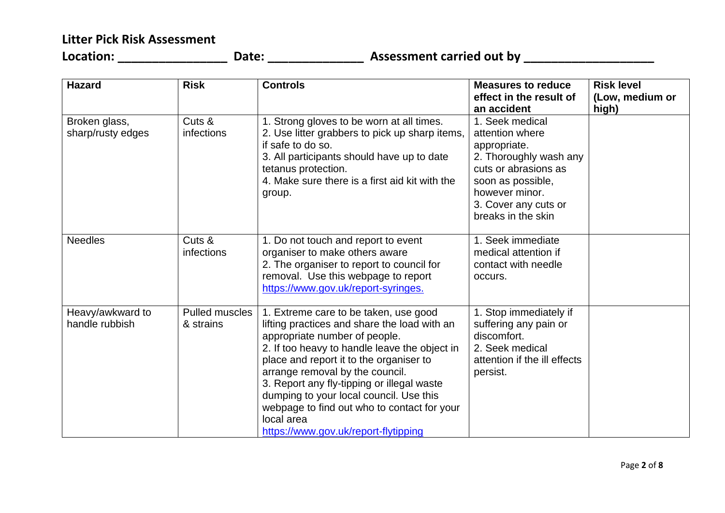**Location: \_\_\_\_\_\_\_\_\_\_\_\_\_\_\_\_ Date: \_\_\_\_\_\_\_\_\_\_\_\_\_\_ Assessment carried out by \_\_\_\_\_\_\_\_\_\_\_\_\_\_\_\_\_\_\_**

| <b>Hazard</b>                      | <b>Risk</b>                        | <b>Controls</b>                                                                                                                                                                                                                                                                                                                                                                                                                                     | <b>Measures to reduce</b><br>effect in the result of                                                                                                                                                     | <b>Risk level</b><br>(Low, medium or |
|------------------------------------|------------------------------------|-----------------------------------------------------------------------------------------------------------------------------------------------------------------------------------------------------------------------------------------------------------------------------------------------------------------------------------------------------------------------------------------------------------------------------------------------------|----------------------------------------------------------------------------------------------------------------------------------------------------------------------------------------------------------|--------------------------------------|
| Broken glass,<br>sharp/rusty edges | Cuts &<br>infections               | 1. Strong gloves to be worn at all times.<br>2. Use litter grabbers to pick up sharp items,<br>if safe to do so.<br>3. All participants should have up to date<br>tetanus protection.<br>4. Make sure there is a first aid kit with the<br>group.                                                                                                                                                                                                   | an accident<br>1. Seek medical<br>attention where<br>appropriate.<br>2. Thoroughly wash any<br>cuts or abrasions as<br>soon as possible,<br>however minor.<br>3. Cover any cuts or<br>breaks in the skin | high)                                |
| <b>Needles</b>                     | Cuts &<br>infections               | 1. Do not touch and report to event<br>organiser to make others aware<br>2. The organiser to report to council for<br>removal. Use this webpage to report<br>https://www.gov.uk/report-syringes.                                                                                                                                                                                                                                                    | 1. Seek immediate<br>medical attention if<br>contact with needle<br>occurs.                                                                                                                              |                                      |
| Heavy/awkward to<br>handle rubbish | <b>Pulled muscles</b><br>& strains | 1. Extreme care to be taken, use good<br>lifting practices and share the load with an<br>appropriate number of people.<br>2. If too heavy to handle leave the object in<br>place and report it to the organiser to<br>arrange removal by the council.<br>3. Report any fly-tipping or illegal waste<br>dumping to your local council. Use this<br>webpage to find out who to contact for your<br>local area<br>https://www.gov.uk/report-flytipping | 1. Stop immediately if<br>suffering any pain or<br>discomfort.<br>2. Seek medical<br>attention if the ill effects<br>persist.                                                                            |                                      |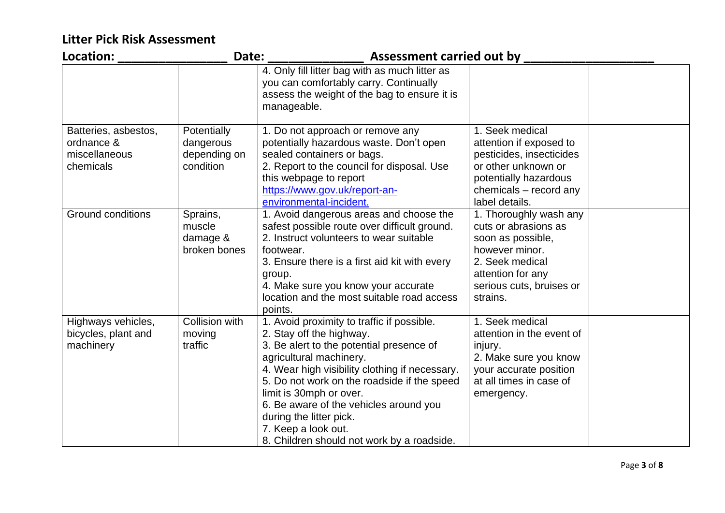| Location:                                                        | Date:                                                 | <b>Assessment carried out by</b>                                                                                                                                                                                                                                                                                                                                                                                    |                                                                                                                                                                       |  |
|------------------------------------------------------------------|-------------------------------------------------------|---------------------------------------------------------------------------------------------------------------------------------------------------------------------------------------------------------------------------------------------------------------------------------------------------------------------------------------------------------------------------------------------------------------------|-----------------------------------------------------------------------------------------------------------------------------------------------------------------------|--|
|                                                                  |                                                       | 4. Only fill litter bag with as much litter as<br>you can comfortably carry. Continually<br>assess the weight of the bag to ensure it is<br>manageable.                                                                                                                                                                                                                                                             |                                                                                                                                                                       |  |
| Batteries, asbestos,<br>ordnance &<br>miscellaneous<br>chemicals | Potentially<br>dangerous<br>depending on<br>condition | 1. Do not approach or remove any<br>potentially hazardous waste. Don't open<br>sealed containers or bags.<br>2. Report to the council for disposal. Use<br>this webpage to report<br>https://www.gov.uk/report-an-<br>environmental-incident.                                                                                                                                                                       | 1. Seek medical<br>attention if exposed to<br>pesticides, insecticides<br>or other unknown or<br>potentially hazardous<br>chemicals - record any<br>label details.    |  |
| <b>Ground conditions</b>                                         | Sprains,<br>muscle<br>damage &<br>broken bones        | 1. Avoid dangerous areas and choose the<br>safest possible route over difficult ground.<br>2. Instruct volunteers to wear suitable<br>footwear.<br>3. Ensure there is a first aid kit with every<br>group.<br>4. Make sure you know your accurate<br>location and the most suitable road access<br>points.                                                                                                          | 1. Thoroughly wash any<br>cuts or abrasions as<br>soon as possible,<br>however minor.<br>2. Seek medical<br>attention for any<br>serious cuts, bruises or<br>strains. |  |
| Highways vehicles,<br>bicycles, plant and<br>machinery           | Collision with<br>moving<br>traffic                   | 1. Avoid proximity to traffic if possible.<br>2. Stay off the highway.<br>3. Be alert to the potential presence of<br>agricultural machinery.<br>4. Wear high visibility clothing if necessary.<br>5. Do not work on the roadside if the speed<br>limit is 30mph or over.<br>6. Be aware of the vehicles around you<br>during the litter pick.<br>7. Keep a look out.<br>8. Children should not work by a roadside. | 1. Seek medical<br>attention in the event of<br>injury.<br>2. Make sure you know<br>your accurate position<br>at all times in case of<br>emergency.                   |  |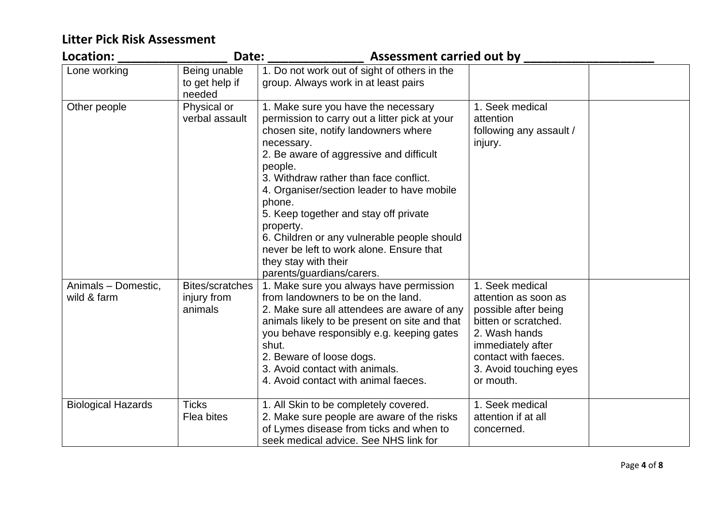| Location:                          | Date:                                            | <b>Assessment carried out by</b>                                                                                                                                                                                                                                                                                                                                                                                                                                                                         |                                                                                                                                                                                              |  |
|------------------------------------|--------------------------------------------------|----------------------------------------------------------------------------------------------------------------------------------------------------------------------------------------------------------------------------------------------------------------------------------------------------------------------------------------------------------------------------------------------------------------------------------------------------------------------------------------------------------|----------------------------------------------------------------------------------------------------------------------------------------------------------------------------------------------|--|
| Lone working                       | Being unable<br>to get help if<br>needed         | 1. Do not work out of sight of others in the<br>group. Always work in at least pairs                                                                                                                                                                                                                                                                                                                                                                                                                     |                                                                                                                                                                                              |  |
| Other people                       | Physical or<br>verbal assault                    | 1. Make sure you have the necessary<br>permission to carry out a litter pick at your<br>chosen site, notify landowners where<br>necessary.<br>2. Be aware of aggressive and difficult<br>people.<br>3. Withdraw rather than face conflict.<br>4. Organiser/section leader to have mobile<br>phone.<br>5. Keep together and stay off private<br>property.<br>6. Children or any vulnerable people should<br>never be left to work alone. Ensure that<br>they stay with their<br>parents/guardians/carers. | 1. Seek medical<br>attention<br>following any assault /<br>injury.                                                                                                                           |  |
| Animals - Domestic,<br>wild & farm | <b>Bites/scratches</b><br>injury from<br>animals | 1. Make sure you always have permission<br>from landowners to be on the land.<br>2. Make sure all attendees are aware of any<br>animals likely to be present on site and that<br>you behave responsibly e.g. keeping gates<br>shut.<br>2. Beware of loose dogs.<br>3. Avoid contact with animals.<br>4. Avoid contact with animal faeces.                                                                                                                                                                | 1. Seek medical<br>attention as soon as<br>possible after being<br>bitten or scratched.<br>2. Wash hands<br>immediately after<br>contact with faeces.<br>3. Avoid touching eyes<br>or mouth. |  |
| <b>Biological Hazards</b>          | <b>Ticks</b><br>Flea bites                       | 1. All Skin to be completely covered.<br>2. Make sure people are aware of the risks<br>of Lymes disease from ticks and when to<br>seek medical advice. See NHS link for                                                                                                                                                                                                                                                                                                                                  | 1. Seek medical<br>attention if at all<br>concerned.                                                                                                                                         |  |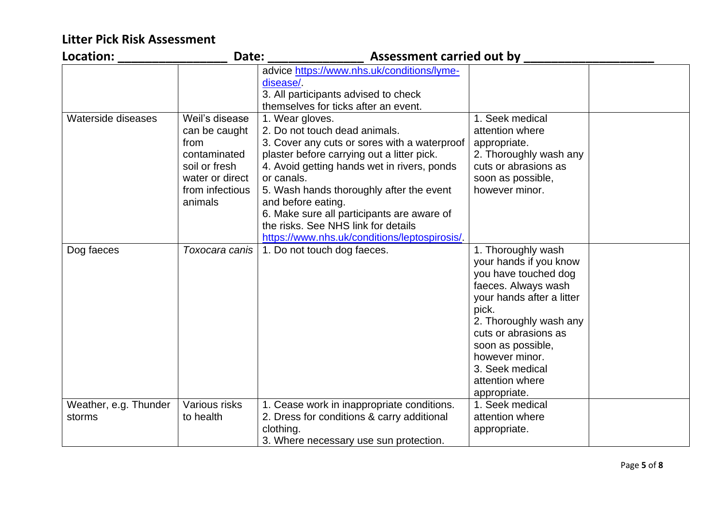| Location:                       | Date:                                                                                                                     | <b>Assessment carried out by</b>                                                                                                                                                                                                                                                                                                                                                                                    |                                                                                                                                                                                                                                                                                  |  |
|---------------------------------|---------------------------------------------------------------------------------------------------------------------------|---------------------------------------------------------------------------------------------------------------------------------------------------------------------------------------------------------------------------------------------------------------------------------------------------------------------------------------------------------------------------------------------------------------------|----------------------------------------------------------------------------------------------------------------------------------------------------------------------------------------------------------------------------------------------------------------------------------|--|
|                                 |                                                                                                                           | advice https://www.nhs.uk/conditions/lyme-<br>disease/<br>3. All participants advised to check<br>themselves for ticks after an event.                                                                                                                                                                                                                                                                              |                                                                                                                                                                                                                                                                                  |  |
| Waterside diseases              | Weil's disease<br>can be caught<br>from<br>contaminated<br>soil or fresh<br>water or direct<br>from infectious<br>animals | 1. Wear gloves.<br>2. Do not touch dead animals.<br>3. Cover any cuts or sores with a waterproof<br>plaster before carrying out a litter pick.<br>4. Avoid getting hands wet in rivers, ponds<br>or canals.<br>5. Wash hands thoroughly after the event<br>and before eating.<br>6. Make sure all participants are aware of<br>the risks. See NHS link for details<br>https://www.nhs.uk/conditions/leptospirosis/. | 1. Seek medical<br>attention where<br>appropriate.<br>2. Thoroughly wash any<br>cuts or abrasions as<br>soon as possible,<br>however minor.                                                                                                                                      |  |
| Dog faeces                      | Toxocara canis                                                                                                            | 1. Do not touch dog faeces.                                                                                                                                                                                                                                                                                                                                                                                         | 1. Thoroughly wash<br>your hands if you know<br>you have touched dog<br>faeces. Always wash<br>your hands after a litter<br>pick.<br>2. Thoroughly wash any<br>cuts or abrasions as<br>soon as possible,<br>however minor.<br>3. Seek medical<br>attention where<br>appropriate. |  |
| Weather, e.g. Thunder<br>storms | Various risks<br>to health                                                                                                | 1. Cease work in inappropriate conditions.<br>2. Dress for conditions & carry additional<br>clothing.<br>3. Where necessary use sun protection.                                                                                                                                                                                                                                                                     | 1. Seek medical<br>attention where<br>appropriate.                                                                                                                                                                                                                               |  |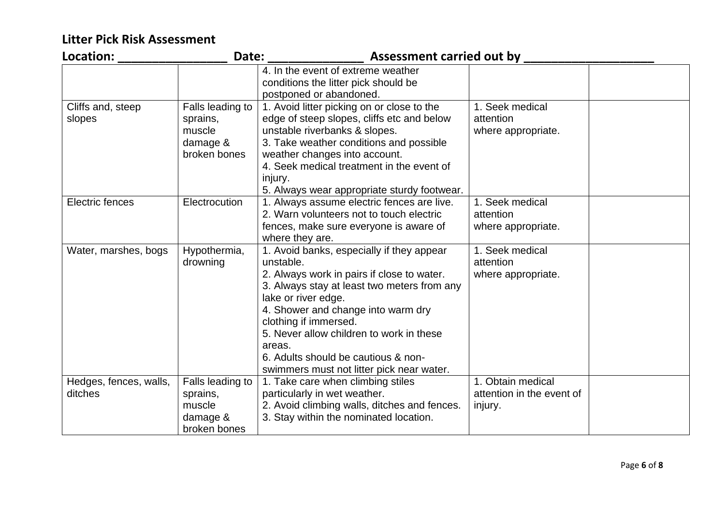| Location:                         | Date:                                                              | <b>Assessment carried out by</b>                                                                                                                                                                                                                                                                                                                                                    |                                                           |  |
|-----------------------------------|--------------------------------------------------------------------|-------------------------------------------------------------------------------------------------------------------------------------------------------------------------------------------------------------------------------------------------------------------------------------------------------------------------------------------------------------------------------------|-----------------------------------------------------------|--|
|                                   |                                                                    | 4. In the event of extreme weather<br>conditions the litter pick should be<br>postponed or abandoned.                                                                                                                                                                                                                                                                               |                                                           |  |
| Cliffs and, steep<br>slopes       | Falls leading to<br>sprains,<br>muscle<br>damage &<br>broken bones | 1. Avoid litter picking on or close to the<br>edge of steep slopes, cliffs etc and below<br>unstable riverbanks & slopes.<br>3. Take weather conditions and possible<br>weather changes into account.<br>4. Seek medical treatment in the event of<br>injury.<br>5. Always wear appropriate sturdy footwear.                                                                        | 1. Seek medical<br>attention<br>where appropriate.        |  |
| Electric fences                   | Electrocution                                                      | 1. Always assume electric fences are live.<br>2. Warn volunteers not to touch electric<br>fences, make sure everyone is aware of<br>where they are.                                                                                                                                                                                                                                 | 1. Seek medical<br>attention<br>where appropriate.        |  |
| Water, marshes, bogs              | Hypothermia,<br>drowning                                           | 1. Avoid banks, especially if they appear<br>unstable.<br>2. Always work in pairs if close to water.<br>3. Always stay at least two meters from any<br>lake or river edge.<br>4. Shower and change into warm dry<br>clothing if immersed.<br>5. Never allow children to work in these<br>areas.<br>6. Adults should be cautious & non-<br>swimmers must not litter pick near water. | 1. Seek medical<br>attention<br>where appropriate.        |  |
| Hedges, fences, walls,<br>ditches | Falls leading to<br>sprains,<br>muscle<br>damage &<br>broken bones | 1. Take care when climbing stiles<br>particularly in wet weather.<br>2. Avoid climbing walls, ditches and fences.<br>3. Stay within the nominated location.                                                                                                                                                                                                                         | 1. Obtain medical<br>attention in the event of<br>injury. |  |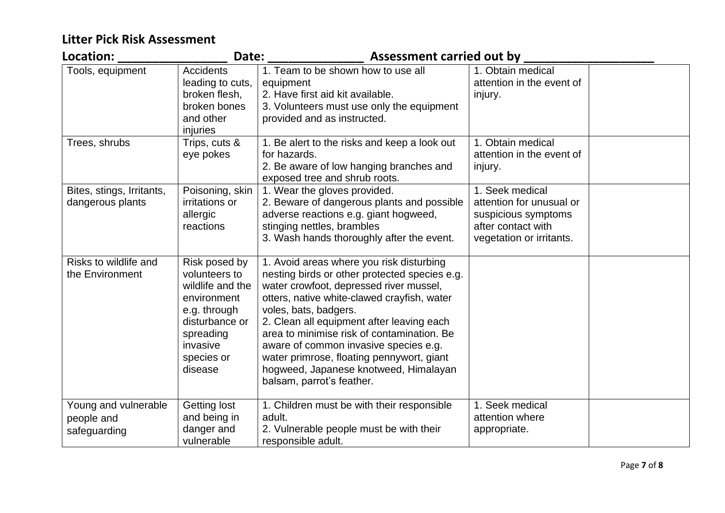| Location:                                          | Date:                                                                                                                                                 | <b>Assessment carried out by</b>                                                                                                                                                                                                                                                                                                                                                                                                                                    |                                                                                                                      |  |
|----------------------------------------------------|-------------------------------------------------------------------------------------------------------------------------------------------------------|---------------------------------------------------------------------------------------------------------------------------------------------------------------------------------------------------------------------------------------------------------------------------------------------------------------------------------------------------------------------------------------------------------------------------------------------------------------------|----------------------------------------------------------------------------------------------------------------------|--|
| Tools, equipment                                   | <b>Accidents</b><br>leading to cuts,<br>broken flesh,<br>broken bones<br>and other<br>injuries                                                        | 1. Team to be shown how to use all<br>equipment<br>2. Have first aid kit available.<br>3. Volunteers must use only the equipment<br>provided and as instructed.                                                                                                                                                                                                                                                                                                     | 1. Obtain medical<br>attention in the event of<br>injury.                                                            |  |
| Trees, shrubs                                      | Trips, cuts &<br>eye pokes                                                                                                                            | 1. Be alert to the risks and keep a look out<br>for hazards.<br>2. Be aware of low hanging branches and<br>exposed tree and shrub roots.                                                                                                                                                                                                                                                                                                                            | 1. Obtain medical<br>attention in the event of<br>injury.                                                            |  |
| Bites, stings, Irritants,<br>dangerous plants      | Poisoning, skin<br>irritations or<br>allergic<br>reactions                                                                                            | 1. Wear the gloves provided.<br>2. Beware of dangerous plants and possible<br>adverse reactions e.g. giant hogweed,<br>stinging nettles, brambles<br>3. Wash hands thoroughly after the event.                                                                                                                                                                                                                                                                      | 1. Seek medical<br>attention for unusual or<br>suspicious symptoms<br>after contact with<br>vegetation or irritants. |  |
| Risks to wildlife and<br>the Environment           | Risk posed by<br>volunteers to<br>wildlife and the<br>environment<br>e.g. through<br>disturbance or<br>spreading<br>invasive<br>species or<br>disease | 1. Avoid areas where you risk disturbing<br>nesting birds or other protected species e.g.<br>water crowfoot, depressed river mussel,<br>otters, native white-clawed crayfish, water<br>voles, bats, badgers.<br>2. Clean all equipment after leaving each<br>area to minimise risk of contamination. Be<br>aware of common invasive species e.g.<br>water primrose, floating pennywort, giant<br>hogweed, Japanese knotweed, Himalayan<br>balsam, parrot's feather. |                                                                                                                      |  |
| Young and vulnerable<br>people and<br>safeguarding | Getting lost<br>and being in<br>danger and<br>vulnerable                                                                                              | 1. Children must be with their responsible<br>adult.<br>2. Vulnerable people must be with their<br>responsible adult.                                                                                                                                                                                                                                                                                                                                               | 1. Seek medical<br>attention where<br>appropriate.                                                                   |  |